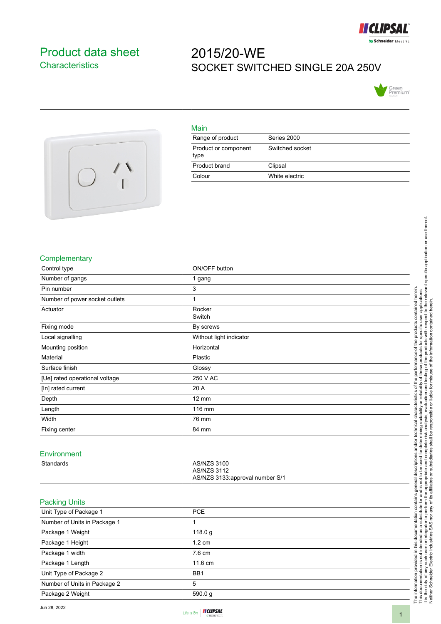

## <span id="page-0-0"></span>Product data sheet **Characteristics**

## 2015/20-WE SOCKET SWITCHED SINGLE 20A 250V





| Main                         |                 |
|------------------------------|-----------------|
| Range of product             | Series 2000     |
| Product or component<br>type | Switched socket |
| Product brand                | Clipsal         |
| Colour                       | White electric  |

## **Complementary**

|                                 | cific user applications.<br>th respect to the relevant specific application or use thereof.<br>contained herein.                                                                                                               |
|---------------------------------|--------------------------------------------------------------------------------------------------------------------------------------------------------------------------------------------------------------------------------|
| ON/OFF button                   |                                                                                                                                                                                                                                |
| 1 gang                          |                                                                                                                                                                                                                                |
| 3                               |                                                                                                                                                                                                                                |
| 1                               | contained herein                                                                                                                                                                                                               |
| Rocker                          |                                                                                                                                                                                                                                |
| Switch                          |                                                                                                                                                                                                                                |
| By screws                       | products with respect<br>specific user<br>the products                                                                                                                                                                         |
| Without light indicator         | đ                                                                                                                                                                                                                              |
| Horizontal                      | đ                                                                                                                                                                                                                              |
| Plastic                         | ese products<br>performance                                                                                                                                                                                                    |
| Glossy                          |                                                                                                                                                                                                                                |
| 250 V AC                        | ৳<br>the                                                                                                                                                                                                                       |
| 20 A                            | analysis, evaluation and testing of the products wit<br>responsible or liable for misuse of the information<br>or reliability<br>đ                                                                                             |
| $12 \text{ mm}$                 | teristics                                                                                                                                                                                                                      |
| 116 mm                          | charact                                                                                                                                                                                                                        |
| 76 mm                           |                                                                                                                                                                                                                                |
| 84 mm                           | d for determining suitability<br>complete risk analysis, eva<br>liaries shall be responsible o<br>technical                                                                                                                    |
|                                 |                                                                                                                                                                                                                                |
|                                 | and/or                                                                                                                                                                                                                         |
|                                 |                                                                                                                                                                                                                                |
| <b>AS/NZS 3112</b>              |                                                                                                                                                                                                                                |
| AS/NZS 3133:approval number S/1 |                                                                                                                                                                                                                                |
|                                 |                                                                                                                                                                                                                                |
|                                 |                                                                                                                                                                                                                                |
|                                 | The information provided in this documentation contains general descriptions and this documentation is not interested as a substitute for and is not to be used for a this documentation is not interested as a substitute for |
| 1                               |                                                                                                                                                                                                                                |
|                                 |                                                                                                                                                                                                                                |
|                                 |                                                                                                                                                                                                                                |
|                                 |                                                                                                                                                                                                                                |
|                                 |                                                                                                                                                                                                                                |
|                                 |                                                                                                                                                                                                                                |
|                                 |                                                                                                                                                                                                                                |
|                                 |                                                                                                                                                                                                                                |
|                                 |                                                                                                                                                                                                                                |
|                                 | AS/NZS 3100<br><b>PCE</b><br>118.0 g<br>1.2 cm<br>7.6 cm<br>11.6 cm<br>BB1<br>5<br>590.0g                                                                                                                                      |